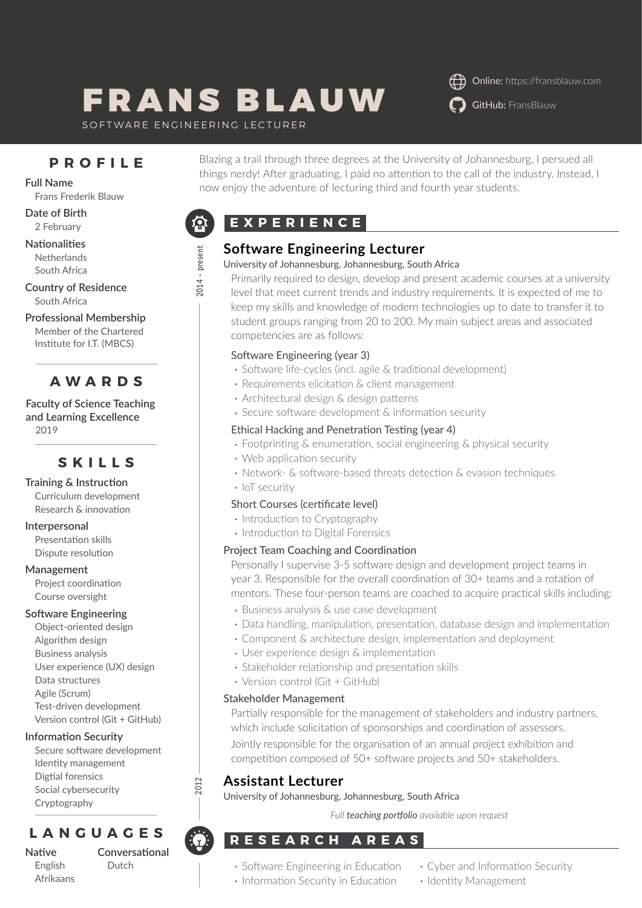# FRANS BLAUW O GitHub: [FransBlauw](https://github.com/FransBlauw/)

Online:<https://fransblauw.com>

SOFTWARE ENGINEERING LECTURER

## **PROFILE**

Frans Frederik Blauw

**Date of Birth** 2 February

**Nationalities Netherlands** South Africa

**Country of Residence** South Africa

**Professional Membership** Member of the Chartered Institute for I.T. (MBCS)

# **AWARDS**

**Faculty of Science Teaching and Learning Excellence** 2019

## **SKILLS**

**Training & Instruction** Curriculum development Research & innovation

**Interpersonal**

Presentation skills Dispute resolution

#### **Management**

Project coordination Course oversight

#### **Software Engineering**

Object-oriented design Algorithm design Business analysis User experience (UX) design Data structures Agile (Scrum) Test-driven development Version control (Git + GitHub)

#### **Information Security**

Secure software development Identity management Digtial forensics Social cybersecurity Cryptography

# **LANGUAGES**

**Native** English Afrikaans **Conversational** Dutch

Blazing a trail through three degrees at the University of Johannesburg, I persued all things nerdy! After graduating, I paid no attention to the call of the industry. Instead, I Full Name<br>now enjoy the adventure of lecturing third and fourth year students.

# **EXPERIENCE**



## **Software Engineering Lecturer**

#### University of Johannesburg, Johannesburg, South Africa

Primarily required to design, develop and present academic courses at a university level that meet current trends and industry requirements. It is expected of me to keep my skills and knowledge of modern technologies up to date to transfer it to student groups ranging from 20 to 200. My main subject areas and associated competencies are as follows:

#### Software Engineering (year 3)

- Software life-cycles (incl. agile & traditional development)
- Requirements elicitation & client management
- Architectural design & design patterns
- Secure software development & information security

#### Ethical Hacking and Penetration Testing (year 4)

- Footprinting & enumeration, social engineering & physical security
- Web application security
- Network- & software-based threats detection & evasion techniques
- IoT security

#### Short Courses (certificate level)

- Introduction to Cryptography
- Introduction to Digital Forensics

#### Project Team Coaching and Coordination

Personally I supervise 3-5 software design and development project teams in year 3. Responsible for the overall coordination of 30+ teams and a rotation of mentors. These four-person teams are coached to acquire practical skills including:

- Business analysis & use case development
- Data handling, manipulation, presentation, database design and implementation
- Component & architecture design, implementation and deployment
- User experience design & implementation
- Stakeholder relationship and presentation skills
- Version control (Git + GitHub)

#### Stakeholder Management

Partially responsible for the management of stakeholders and industry partners, which include solicitation of sponsorships and coordination of assessors.

Jointly responsible for the organisation of an annual project exhibition and competition composed of 50+ software projects and 50+ stakeholders.

## **Assistant Lecturer**

**2012**

University of Johannesburg, Johannesburg, South Africa

*Full teaching portfolio available upon request*

# **RESEARCH AREAS**

- Software Engineering in Education
- Information Security in Education
- Cyber and Information Security
- Identity Management